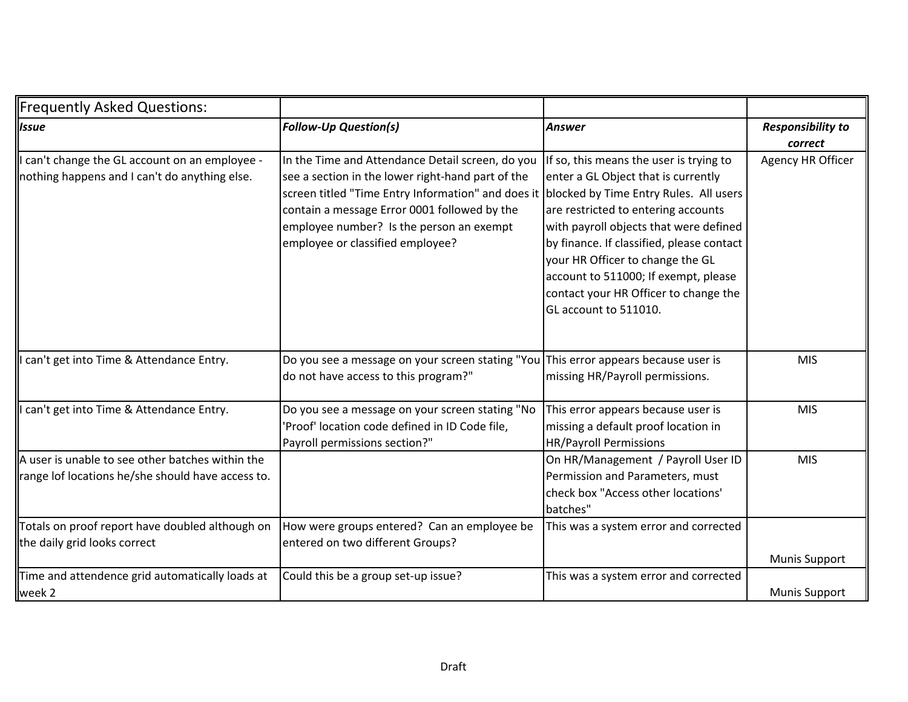| <b>Frequently Asked Questions:</b>                                                                    |                                                                                                                                                                                                                                                                                                                                    |                                                                                                                                                                                                                                                                                                                                                            |                                     |
|-------------------------------------------------------------------------------------------------------|------------------------------------------------------------------------------------------------------------------------------------------------------------------------------------------------------------------------------------------------------------------------------------------------------------------------------------|------------------------------------------------------------------------------------------------------------------------------------------------------------------------------------------------------------------------------------------------------------------------------------------------------------------------------------------------------------|-------------------------------------|
| <b>Issue</b>                                                                                          | <b>Follow-Up Question(s)</b>                                                                                                                                                                                                                                                                                                       | <b>Answer</b>                                                                                                                                                                                                                                                                                                                                              | <b>Responsibility to</b><br>correct |
| can't change the GL account on an employee -<br>nothing happens and I can't do anything else.         | In the Time and Attendance Detail screen, do you<br>see a section in the lower right-hand part of the<br>screen titled "Time Entry Information" and does it blocked by Time Entry Rules. All users<br>contain a message Error 0001 followed by the<br>employee number? Is the person an exempt<br>employee or classified employee? | If so, this means the user is trying to<br>enter a GL Object that is currently<br>are restricted to entering accounts<br>with payroll objects that were defined<br>by finance. If classified, please contact<br>your HR Officer to change the GL<br>account to 511000; If exempt, please<br>contact your HR Officer to change the<br>GL account to 511010. | Agency HR Officer                   |
| can't get into Time & Attendance Entry.                                                               | Do you see a message on your screen stating "You This error appears because user is<br>do not have access to this program?"                                                                                                                                                                                                        | missing HR/Payroll permissions.                                                                                                                                                                                                                                                                                                                            | <b>MIS</b>                          |
| can't get into Time & Attendance Entry.                                                               | Do you see a message on your screen stating "No<br>'Proof' location code defined in ID Code file,<br>Payroll permissions section?"                                                                                                                                                                                                 | This error appears because user is<br>missing a default proof location in<br><b>HR/Payroll Permissions</b>                                                                                                                                                                                                                                                 | <b>MIS</b>                          |
| A user is unable to see other batches within the<br>range lof locations he/she should have access to. |                                                                                                                                                                                                                                                                                                                                    | On HR/Management / Payroll User ID<br>Permission and Parameters, must<br>check box "Access other locations'<br>batches"                                                                                                                                                                                                                                    | <b>MIS</b>                          |
| Totals on proof report have doubled although on<br>the daily grid looks correct                       | How were groups entered? Can an employee be<br>entered on two different Groups?                                                                                                                                                                                                                                                    | This was a system error and corrected                                                                                                                                                                                                                                                                                                                      | <b>Munis Support</b>                |
| Time and attendence grid automatically loads at<br>week 2                                             | Could this be a group set-up issue?                                                                                                                                                                                                                                                                                                | This was a system error and corrected                                                                                                                                                                                                                                                                                                                      | <b>Munis Support</b>                |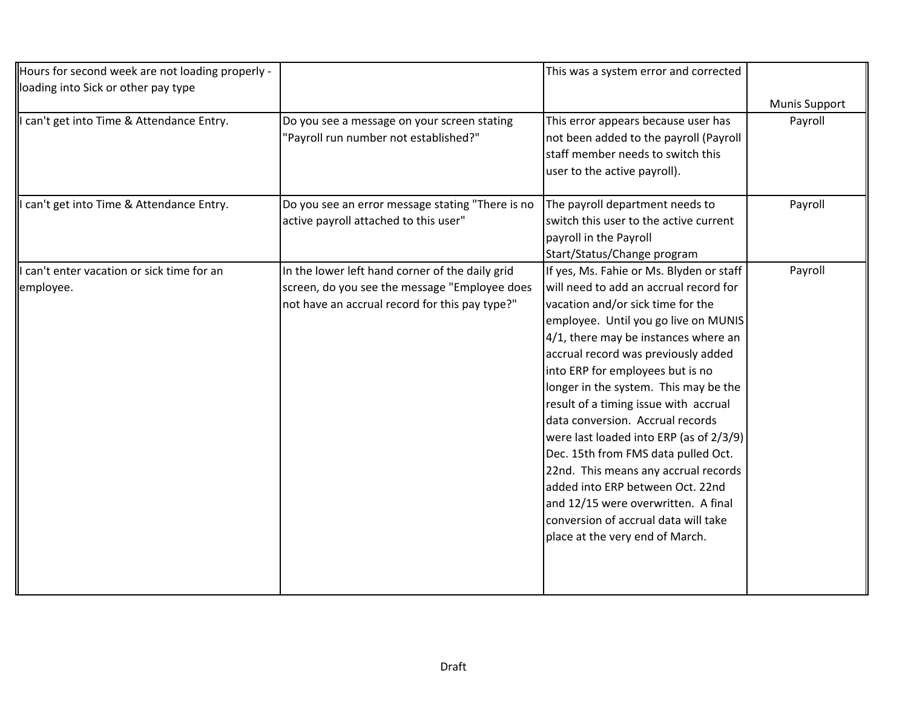|                                                                                           | This was a system error and corrected                                                               |                             |
|-------------------------------------------------------------------------------------------|-----------------------------------------------------------------------------------------------------|-----------------------------|
|                                                                                           |                                                                                                     | <b>Munis Support</b>        |
| Do you see a message on your screen stating<br>"Payroll run number not established?"      | This error appears because user has<br>not been added to the payroll (Payroll                       | Payroll                     |
|                                                                                           | staff member needs to switch this<br>user to the active payroll).                                   |                             |
| Do you see an error message stating "There is no<br>active payroll attached to this user" | The payroll department needs to<br>switch this user to the active current<br>payroll in the Payroll | Payroll                     |
| In the lower left hand corner of the daily grid                                           | If yes, Ms. Fahie or Ms. Blyden or staff                                                            | Payroll                     |
| screen, do you see the message "Employee does                                             | will need to add an accrual record for                                                              |                             |
| not have an accrual record for this pay type?"                                            | vacation and/or sick time for the                                                                   |                             |
|                                                                                           | employee. Until you go live on MUNIS                                                                |                             |
|                                                                                           | 4/1, there may be instances where an                                                                |                             |
|                                                                                           | accrual record was previously added                                                                 |                             |
|                                                                                           | into ERP for employees but is no                                                                    |                             |
|                                                                                           | longer in the system. This may be the                                                               |                             |
|                                                                                           | result of a timing issue with accrual                                                               |                             |
|                                                                                           | data conversion. Accrual records                                                                    |                             |
|                                                                                           | were last loaded into ERP (as of 2/3/9)                                                             |                             |
|                                                                                           | Dec. 15th from FMS data pulled Oct.                                                                 |                             |
|                                                                                           | 22nd. This means any accrual records                                                                |                             |
|                                                                                           | added into ERP between Oct. 22nd                                                                    |                             |
|                                                                                           | and 12/15 were overwritten. A final                                                                 |                             |
|                                                                                           | conversion of accrual data will take                                                                |                             |
|                                                                                           | place at the very end of March.                                                                     |                             |
|                                                                                           |                                                                                                     |                             |
|                                                                                           |                                                                                                     | Start/Status/Change program |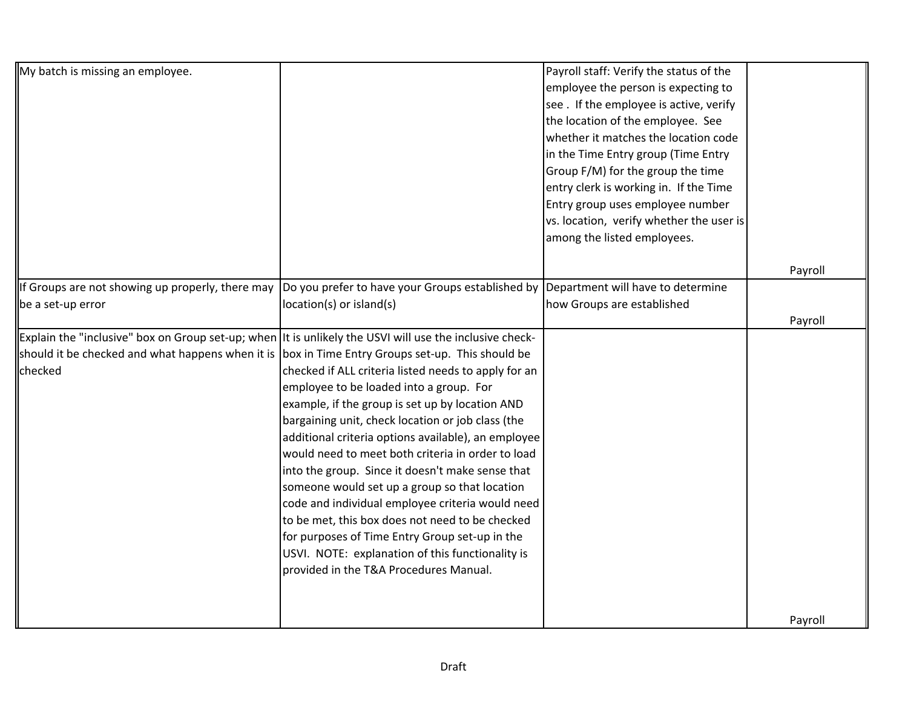| My batch is missing an employee.                                                                                                                                                                                       |                                                                                                                                                                                                                                                                                                                                                                                                                                                                                                                                                                                                                                                                                 | Payroll staff: Verify the status of the<br>employee the person is expecting to<br>see . If the employee is active, verify<br>the location of the employee. See<br>whether it matches the location code<br>in the Time Entry group (Time Entry<br>Group F/M) for the group the time<br>entry clerk is working in. If the Time<br>Entry group uses employee number<br>vs. location, verify whether the user is<br>among the listed employees. |         |
|------------------------------------------------------------------------------------------------------------------------------------------------------------------------------------------------------------------------|---------------------------------------------------------------------------------------------------------------------------------------------------------------------------------------------------------------------------------------------------------------------------------------------------------------------------------------------------------------------------------------------------------------------------------------------------------------------------------------------------------------------------------------------------------------------------------------------------------------------------------------------------------------------------------|---------------------------------------------------------------------------------------------------------------------------------------------------------------------------------------------------------------------------------------------------------------------------------------------------------------------------------------------------------------------------------------------------------------------------------------------|---------|
|                                                                                                                                                                                                                        |                                                                                                                                                                                                                                                                                                                                                                                                                                                                                                                                                                                                                                                                                 |                                                                                                                                                                                                                                                                                                                                                                                                                                             | Payroll |
| If Groups are not showing up properly, there may<br>be a set-up error                                                                                                                                                  | Do you prefer to have your Groups established by<br>location(s) or island(s)                                                                                                                                                                                                                                                                                                                                                                                                                                                                                                                                                                                                    | Department will have to determine<br>how Groups are established                                                                                                                                                                                                                                                                                                                                                                             | Payroll |
| Explain the "inclusive" box on Group set-up; when It is unlikely the USVI will use the inclusive check-<br>should it be checked and what happens when it is box in Time Entry Groups set-up. This should be<br>checked | checked if ALL criteria listed needs to apply for an<br>employee to be loaded into a group. For<br>example, if the group is set up by location AND<br>bargaining unit, check location or job class (the<br>additional criteria options available), an employee<br>would need to meet both criteria in order to load<br>into the group. Since it doesn't make sense that<br>someone would set up a group so that location<br>code and individual employee criteria would need<br>to be met, this box does not need to be checked<br>for purposes of Time Entry Group set-up in the<br>USVI. NOTE: explanation of this functionality is<br>provided in the T&A Procedures Manual. |                                                                                                                                                                                                                                                                                                                                                                                                                                             |         |
|                                                                                                                                                                                                                        |                                                                                                                                                                                                                                                                                                                                                                                                                                                                                                                                                                                                                                                                                 |                                                                                                                                                                                                                                                                                                                                                                                                                                             | Payroll |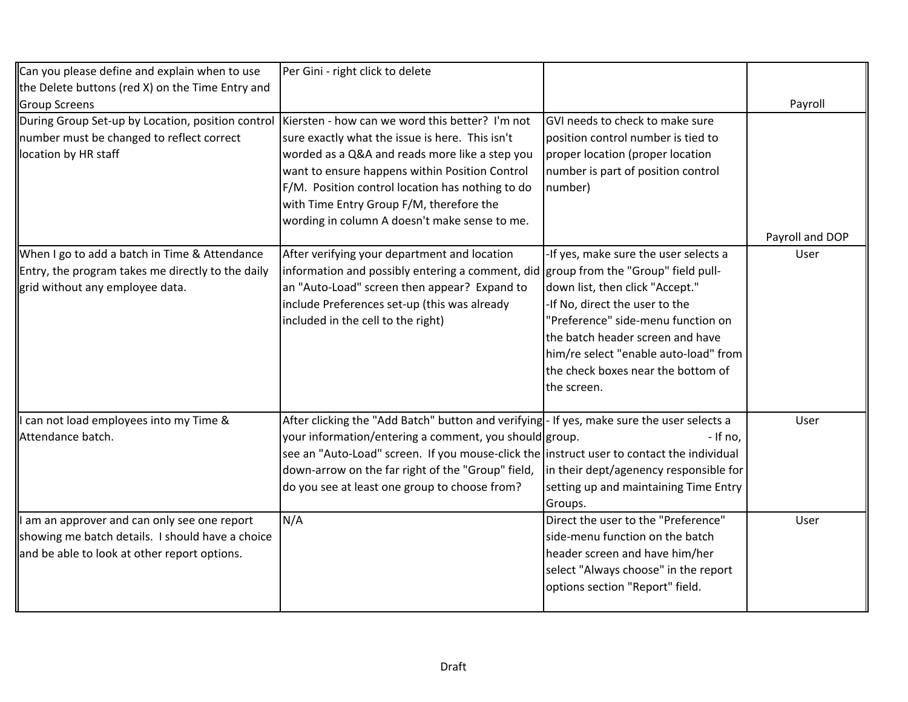| Can you please define and explain when to use<br>the Delete buttons (red X) on the Time Entry and<br><b>Group Screens</b>                        | Per Gini - right click to delete                                                                                                                                                                                                                                                                                                                        |                                                                                                                                                                                                                                                                                                                          | Payroll         |
|--------------------------------------------------------------------------------------------------------------------------------------------------|---------------------------------------------------------------------------------------------------------------------------------------------------------------------------------------------------------------------------------------------------------------------------------------------------------------------------------------------------------|--------------------------------------------------------------------------------------------------------------------------------------------------------------------------------------------------------------------------------------------------------------------------------------------------------------------------|-----------------|
| During Group Set-up by Location, position control<br>number must be changed to reflect correct<br>location by HR staff                           | Kiersten - how can we word this better? I'm not<br>sure exactly what the issue is here. This isn't<br>worded as a Q&A and reads more like a step you<br>want to ensure happens within Position Control<br>F/M. Position control location has nothing to do<br>with Time Entry Group F/M, therefore the<br>wording in column A doesn't make sense to me. | GVI needs to check to make sure<br>position control number is tied to<br>proper location (proper location<br>number is part of position control<br>number)                                                                                                                                                               | Payroll and DOP |
| When I go to add a batch in Time & Attendance<br>Entry, the program takes me directly to the daily<br>grid without any employee data.            | After verifying your department and location<br>information and possibly entering a comment, did<br>an "Auto-Load" screen then appear? Expand to<br>include Preferences set-up (this was already<br>included in the cell to the right)                                                                                                                  | -If yes, make sure the user selects a<br>group from the "Group" field pull-<br>down list, then click "Accept."<br>-If No, direct the user to the<br>"Preference" side-menu function on<br>the batch header screen and have<br>him/re select "enable auto-load" from<br>the check boxes near the bottom of<br>the screen. | User            |
| I can not load employees into my Time &<br>Attendance batch.                                                                                     | After clicking the "Add Batch" button and verifying- If yes, make sure the user selects a<br>your information/entering a comment, you should group.<br>see an "Auto-Load" screen. If you mouse-click the instruct user to contact the individual<br>down-arrow on the far right of the "Group" field,<br>do you see at least one group to choose from?  | - If no,<br>in their dept/agenency responsible for<br>setting up and maintaining Time Entry<br>Groups.                                                                                                                                                                                                                   | User            |
| I am an approver and can only see one report<br>showing me batch details. I should have a choice<br>and be able to look at other report options. | N/A                                                                                                                                                                                                                                                                                                                                                     | Direct the user to the "Preference"<br>side-menu function on the batch<br>header screen and have him/her<br>select "Always choose" in the report<br>options section "Report" field.                                                                                                                                      | User            |